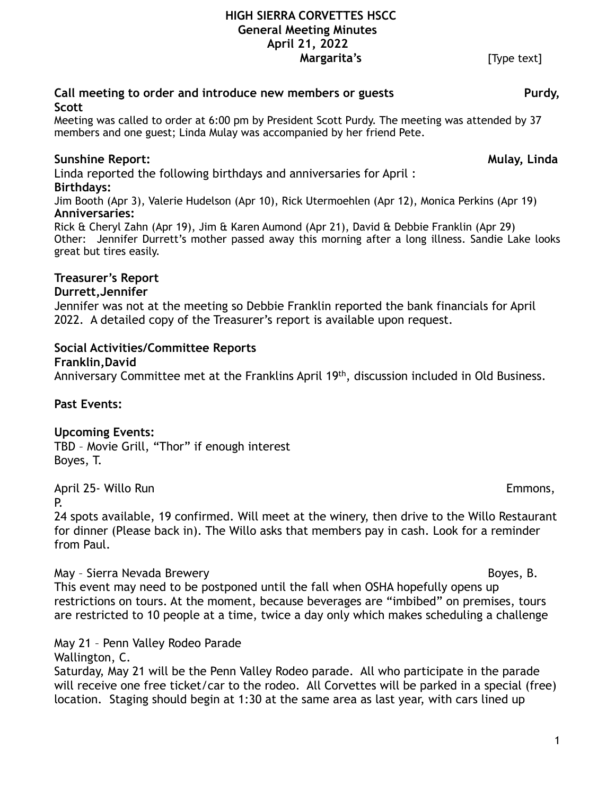# **HIGH SIERRA CORVETTES HSCC General Meeting Minutes April 21, 2022**

**Margarita's** [Type text]

#### Call meeting to order and introduce new members or guests **Purdy**, **Scott**

Meeting was called to order at 6:00 pm by President Scott Purdy. The meeting was attended by 37 members and one guest; Linda Mulay was accompanied by her friend Pete.

# **Sunshine Report: Mulay, Linda**

Linda reported the following birthdays and anniversaries for April : **Birthdays:** 

Jim Booth (Apr 3), Valerie Hudelson (Apr 10), Rick Utermoehlen (Apr 12), Monica Perkins (Apr 19) **Anniversaries:** 

Rick & Cheryl Zahn (Apr 19), Jim & Karen Aumond (Apr 21), David & Debbie Franklin (Apr 29) Other: Jennifer Durrett's mother passed away this morning after a long illness. Sandie Lake looks great but tires easily.

## **Treasurer's Report**

## **Durrett,Jennifer**

Jennifer was not at the meeting so Debbie Franklin reported the bank financials for April 2022. A detailed copy of the Treasurer's report is available upon request.

## **Social Activities/Committee Reports**

## **Franklin,David**

Anniversary Committee met at the Franklins April 19th, discussion included in Old Business.

## **Past Events:**

## **Upcoming Events:**

TBD – Movie Grill, "Thor" if enough interest Boyes, T.

April 25- Willo Run Emmons,

P.

24 spots available, 19 confirmed. Will meet at the winery, then drive to the Willo Restaurant for dinner (Please back in). The Willo asks that members pay in cash. Look for a reminder from Paul.

## May - Sierra Nevada Brewery Boyes, B. Boyes, B. Boyes, B. Boyes, B. Boyes, B. Boyes, B. Boyes, B. Boyes, B. Boyes, B. Boyes, B. Boyes, B. Boyes, B. Boyes, B. Boyes, B. Boyes, B. Boyes, B. Boyes, B. Boyes, B. Boyes, B. Boye

This event may need to be postponed until the fall when OSHA hopefully opens up restrictions on tours. At the moment, because beverages are "imbibed" on premises, tours are restricted to 10 people at a time, twice a day only which makes scheduling a challenge

May 21 – Penn Valley Rodeo Parade

Wallington, C.

Saturday, May 21 will be the Penn Valley Rodeo parade. All who participate in the parade will receive one free ticket/car to the rodeo. All Corvettes will be parked in a special (free) location. Staging should begin at 1:30 at the same area as last year, with cars lined up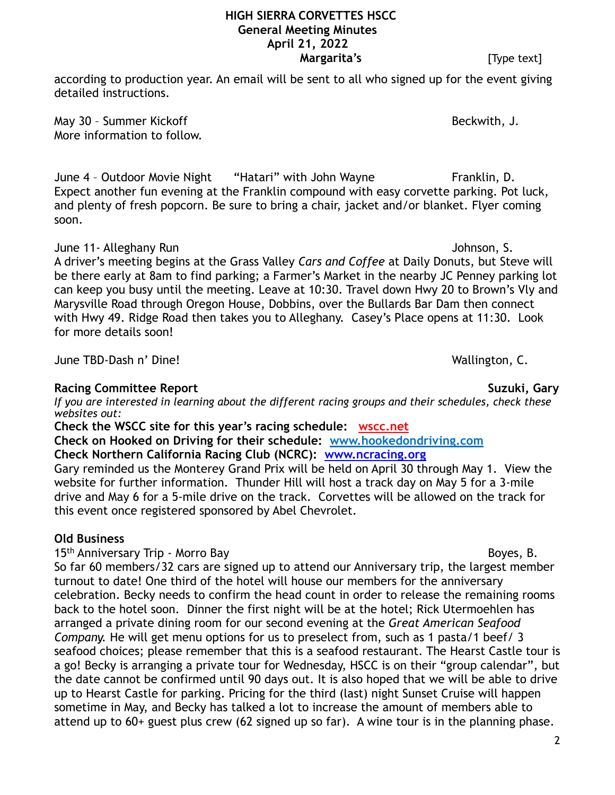according to production year. An email will be sent to all who signed up for the event giving detailed instructions.

May 30 - Summer Kickoff Beckwith, J. More information to follow.

June 4 – Outdoor Movie Night "Hatari" with John Wayne Franklin, D. Expect another fun evening at the Franklin compound with easy corvette parking. Pot luck, and plenty of fresh popcorn. Be sure to bring a chair, jacket and/or blanket. Flyer coming soon.

June 11- Alleghany Run Johnson, S.

A driver's meeting begins at the Grass Valley *Cars and Coffee* at Daily Donuts, but Steve will be there early at 8am to find parking; a Farmer's Market in the nearby JC Penney parking lot can keep you busy until the meeting. Leave at 10:30. Travel down Hwy 20 to Brown's Vly and Marysville Road through Oregon House, Dobbins, over the Bullards Bar Dam then connect with Hwy 49. Ridge Road then takes you to Alleghany. Casey's Place opens at 11:30. Look for more details soon!

June TBD-Dash n' Dine! Wallington, C.

# **Racing Committee Report Suzuki, Gary Allen Suzuki, Gary Allen Suzuki, Gary Allen Suzuki, Gary Allen Suzuki, Gary Allen Suzuki, Gary Allen Suzuki, Gary Allen Suzuki, Gary Allen Suzuki, Gary Allen Suzuki, Gary Allen Suzuki,**

*If you are interested in learning about the different racing groups and their schedules, check these websites out:* 

**Check the WSCC site for this year's racing schedule: [wscc.net](https://wscc.net/)**

**Check on Hooked on Driving for their schedule: [www.hookedondriving.com](http://www.hookedondriving.com)**

# **Check Northern California Racing Club (NCRC): [www.ncracing.org](http://www.ncracing.org)**

Gary reminded us the Monterey Grand Prix will be held on April 30 through May 1. View the website for further information. Thunder Hill will host a track day on May 5 for a 3-mile drive and May 6 for a 5-mile drive on the track. Corvettes will be allowed on the track for this event once registered sponsored by Abel Chevrolet.

# **Old Business**

15<sup>th</sup> Anniversary Trip - Morro Bay Boyes, B.

So far 60 members/32 cars are signed up to attend our Anniversary trip, the largest member turnout to date! One third of the hotel will house our members for the anniversary celebration. Becky needs to confirm the head count in order to release the remaining rooms back to the hotel soon. Dinner the first night will be at the hotel; Rick Utermoehlen has arranged a private dining room for our second evening at the *Great American Seafood Company.* He will get menu options for us to preselect from, such as 1 pasta/1 beef/ 3 seafood choices; please remember that this is a seafood restaurant. The Hearst Castle tour is a go! Becky is arranging a private tour for Wednesday, HSCC is on their "group calendar", but the date cannot be confirmed until 90 days out. It is also hoped that we will be able to drive up to Hearst Castle for parking. Pricing for the third (last) night Sunset Cruise will happen sometime in May, and Becky has talked a lot to increase the amount of members able to attend up to 60+ guest plus crew (62 signed up so far). A wine tour is in the planning phase.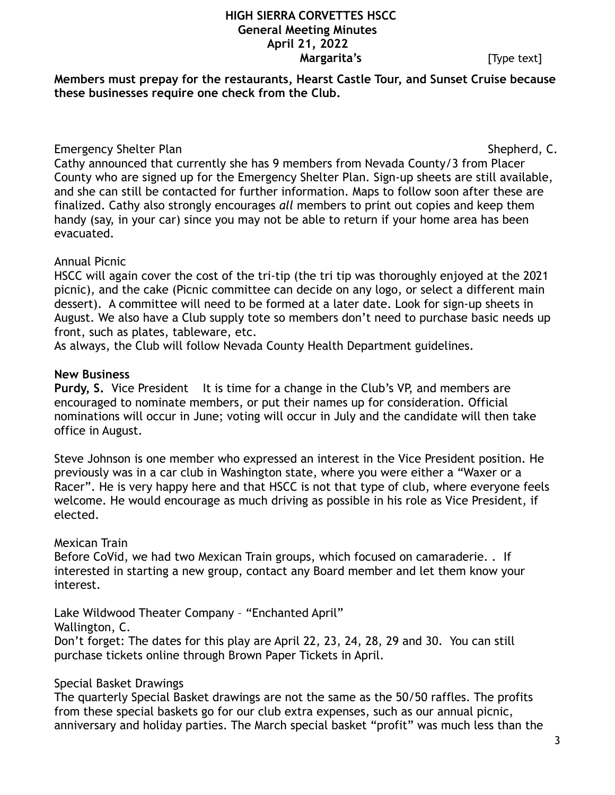**Members must prepay for the restaurants, Hearst Castle Tour, and Sunset Cruise because these businesses require one check from the Club.** 

# Emergency Shelter Plan Shepherd, C.

Cathy announced that currently she has 9 members from Nevada County/3 from Placer County who are signed up for the Emergency Shelter Plan. Sign-up sheets are still available, and she can still be contacted for further information. Maps to follow soon after these are finalized. Cathy also strongly encourages *all* members to print out copies and keep them handy (say, in your car) since you may not be able to return if your home area has been evacuated.

## Annual Picnic

HSCC will again cover the cost of the tri-tip (the tri tip was thoroughly enjoyed at the 2021 picnic), and the cake (Picnic committee can decide on any logo, or select a different main dessert). A committee will need to be formed at a later date. Look for sign-up sheets in August. We also have a Club supply tote so members don't need to purchase basic needs up front, such as plates, tableware, etc.

As always, the Club will follow Nevada County Health Department guidelines.

## **New Business**

**Purdy, S.** Vice President It is time for a change in the Club's VP, and members are encouraged to nominate members, or put their names up for consideration. Official nominations will occur in June; voting will occur in July and the candidate will then take office in August.

Steve Johnson is one member who expressed an interest in the Vice President position. He previously was in a car club in Washington state, where you were either a "Waxer or a Racer". He is very happy here and that HSCC is not that type of club, where everyone feels welcome. He would encourage as much driving as possible in his role as Vice President, if elected.

# Mexican Train

Before CoVid, we had two Mexican Train groups, which focused on camaraderie. . If interested in starting a new group, contact any Board member and let them know your interest.

Lake Wildwood Theater Company – "Enchanted April"

Wallington, C.

Don't forget: The dates for this play are April 22, 23, 24, 28, 29 and 30. You can still purchase tickets online through Brown Paper Tickets in April.

# Special Basket Drawings

The quarterly Special Basket drawings are not the same as the 50/50 raffles. The profits from these special baskets go for our club extra expenses, such as our annual picnic, anniversary and holiday parties. The March special basket "profit" was much less than the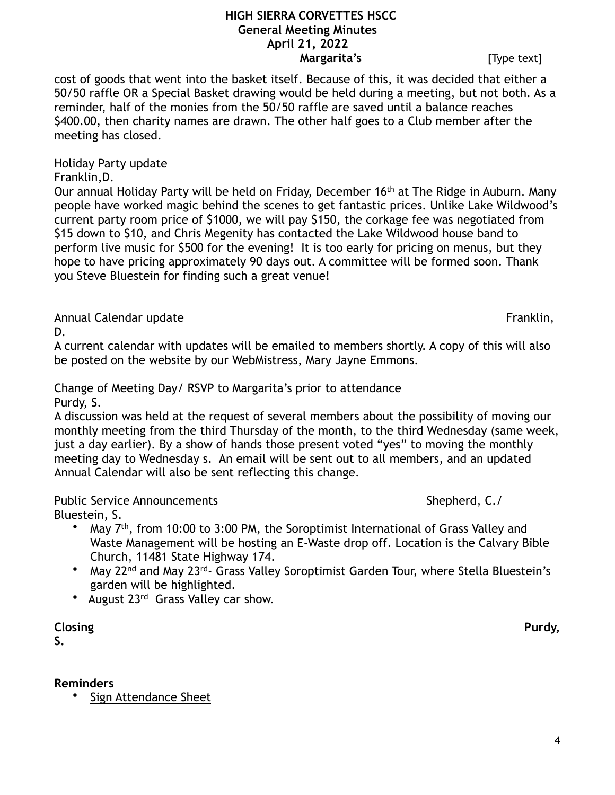cost of goods that went into the basket itself. Because of this, it was decided that either a 50/50 raffle OR a Special Basket drawing would be held during a meeting, but not both. As a reminder, half of the monies from the 50/50 raffle are saved until a balance reaches \$400.00, then charity names are drawn. The other half goes to a Club member after the meeting has closed.

Holiday Party update

Franklin,D.

Our annual Holiday Party will be held on Friday, December 16<sup>th</sup> at The Ridge in Auburn. Many people have worked magic behind the scenes to get fantastic prices. Unlike Lake Wildwood's current party room price of \$1000, we will pay \$150, the corkage fee was negotiated from \$15 down to \$10, and Chris Megenity has contacted the Lake Wildwood house band to perform live music for \$500 for the evening! It is too early for pricing on menus, but they hope to have pricing approximately 90 days out. A committee will be formed soon. Thank you Steve Bluestein for finding such a great venue!

Annual Calendar update Franklin,

D.

A current calendar with updates will be emailed to members shortly. A copy of this will also be posted on the website by our WebMistress, Mary Jayne Emmons.

Change of Meeting Day/ RSVP to Margarita's prior to attendance Purdy, S.

A discussion was held at the request of several members about the possibility of moving our monthly meeting from the third Thursday of the month, to the third Wednesday (same week, just a day earlier). By a show of hands those present voted "yes" to moving the monthly meeting day to Wednesday s. An email will be sent out to all members, and an updated Annual Calendar will also be sent reflecting this change.

Public Service Announcements **Shepherd, C./** Shepherd, C./

- Bluestein, S.
	- May 7th, from 10:00 to 3:00 PM, the Soroptimist International of Grass Valley and Waste Management will be hosting an E-Waste drop off. Location is the Calvary Bible Church, 11481 State Highway 174.
	- May 22<sup>nd</sup> and May 23<sup>rd</sup>- Grass Valley Soroptimist Garden Tour, where Stella Bluestein's garden will be highlighted.
	- August 23<sup>rd</sup> Grass Valley car show.

**Closing Purdy,** 

**S.** 

# **Reminders**

Sign Attendance Sheet